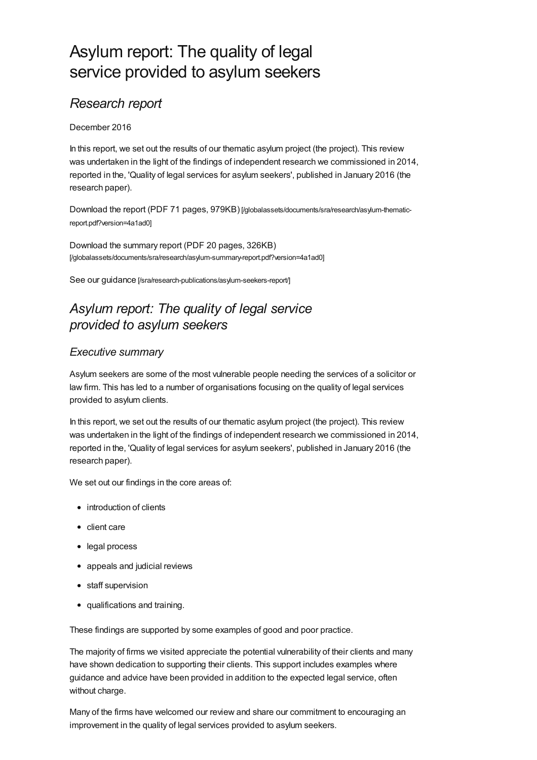# Asylum report: The quality of legal service provided to asylum seekers

### *Research report*

#### December 2016

In this report, we set out the results of our thematic asylum project (the project). This review was undertaken in the light of the findings of independent research we commissioned in 2014, reported in the, 'Quality of legal services for asylum seekers', published in January 2016 (the research paper).

Download the report (PDF 71 pages, 979KB) [\[/globalassets/documents/sra/research/asylum-thematic](https://www.sra.org.uk/globalassets/documents/sra/research/asylum-thematic-report.pdf?version=4a1ad0)report.pdf?version=4a1ad0]

Download the summary report (PDF 20 pages, 326KB) [\[/globalassets/documents/sra/research/asylum-summary-report.pdf?version=4a1ad0\]](https://www.sra.org.uk/globalassets/documents/sra/research/asylum-summary-report.pdf?version=4a1ad0)

See our guidance [\[/sra/research-publications/asylum-seekers-report/\]](https://www.sra.org.uk/sra/research-publications/asylum-seekers-report/)

## *Asylum report: The quality of legal service provided to asylum seekers*

### *Executive summary*

Asylum seekers are some of the most vulnerable people needing the services of a solicitor or law firm. This has led to a number of organisations focusing on the quality of legal services provided to asylum clients.

In this report, we set out the results of our thematic asylum project (the project). This review was undertaken in the light of the findings of independent research we commissioned in 2014, reported in the, 'Quality of legal services for asylum seekers', published in January 2016 (the research paper).

We set out our findings in the core areas of:

- introduction of clients
- client care
- legal process
- appeals and judicial reviews
- staff supervision
- qualifications and training.

These findings are supported by some examples of good and poor practice.

The majority of firms we visited appreciate the potential vulnerability of their clients and many have shown dedication to supporting their clients. This support includes examples where guidance and advice have been provided in addition to the expected legal service, often without charge.

Many of the firms have welcomed our review and share our commitment to encouraging an improvement in the quality of legal services provided to asylum seekers.